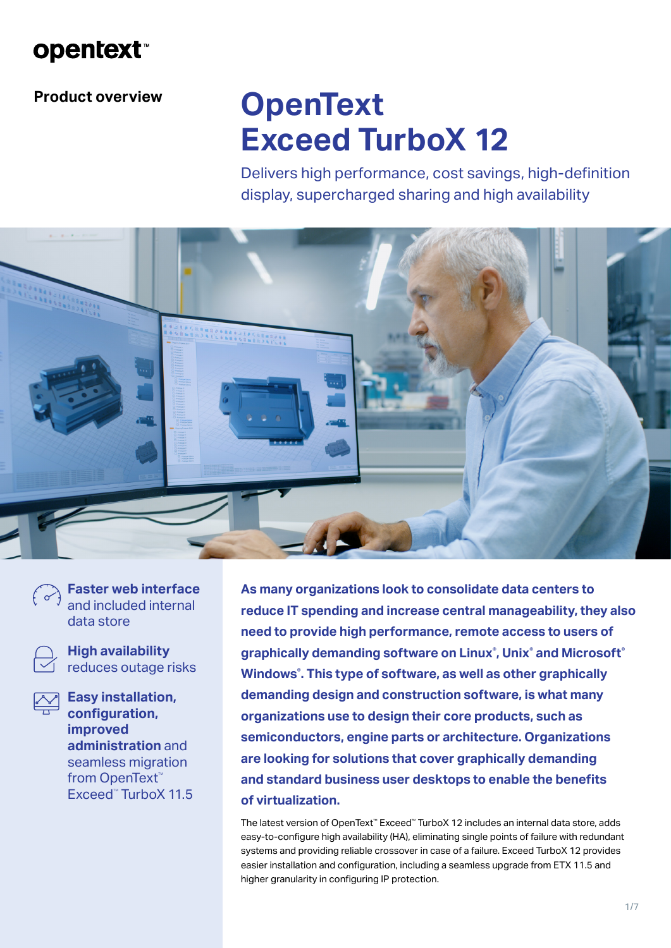

**Product overview**

# **OpenText Exceed TurboX 12**

Delivers high performance, cost savings, high-definition display, supercharged sharing and high availability



**Faster web interface** and included internal data store

**High availability** reduces outage risks

**Easy installation, configuration, improved administration** and seamless migration from OpenText<sup>™</sup> Exceed<sup>™</sup> TurboX 11.5

**As many organizations look to consolidate data centers to reduce IT spending and increase central manageability, they also need to provide high performance, remote access to users of graphically demanding software on Linux® , Unix® and Microsoft® Windows® . This type of software, as well as other graphically demanding design and construction software, is what many organizations use to design their core products, such as semiconductors, engine parts or architecture. Organizations are looking for solutions that cover graphically demanding and standard business user desktops to enable the benefits of virtualization.** 

The latest version of OpenText™ Exceed™ TurboX 12 includes an internal data store, adds easy-to-configure high availability (HA), eliminating single points of failure with redundant systems and providing reliable crossover in case of a failure. Exceed TurboX 12 provides easier installation and configuration, including a seamless upgrade from ETX 11.5 and higher granularity in configuring IP protection.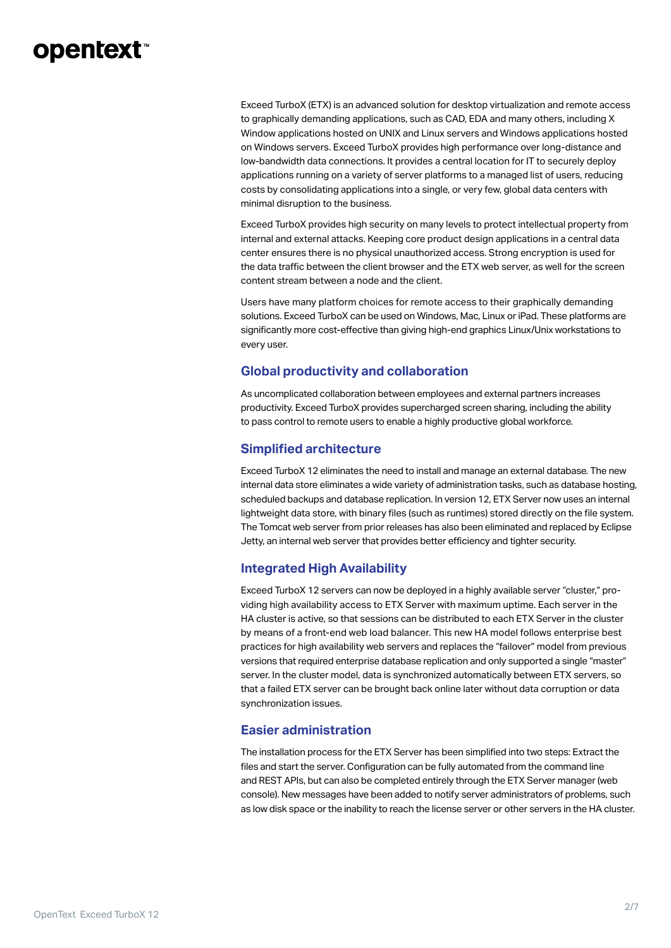### **opentext**™

Exceed TurboX (ETX) is an advanced solution for desktop virtualization and remote access to graphically demanding applications, such as CAD, EDA and many others, including X Window applications hosted on UNIX and Linux servers and Windows applications hosted on Windows servers. Exceed TurboX provides high performance over long-distance and low-bandwidth data connections. It provides a central location for IT to securely deploy applications running on a variety of server platforms to a managed list of users, reducing costs by consolidating applications into a single, or very few, global data centers with minimal disruption to the business.

Exceed TurboX provides high security on many levels to protect intellectual property from internal and external attacks. Keeping core product design applications in a central data center ensures there is no physical unauthorized access. Strong encryption is used for the data traffic between the client browser and the ETX web server, as well for the screen content stream between a node and the client.

Users have many platform choices for remote access to their graphically demanding solutions. Exceed TurboX can be used on Windows, Mac, Linux or iPad. These platforms are significantly more cost-effective than giving high-end graphics Linux/Unix workstations to every user.

#### **Global productivity and collaboration**

As uncomplicated collaboration between employees and external partners increases productivity. Exceed TurboX provides supercharged screen sharing, including the ability to pass control to remote users to enable a highly productive global workforce.

#### **Simplified architecture**

Exceed TurboX 12 eliminates the need to install and manage an external database. The new internal data store eliminates a wide variety of administration tasks, such as database hosting, scheduled backups and database replication. In version 12, ETX Server now uses an internal lightweight data store, with binary files (such as runtimes) stored directly on the file system. The Tomcat web server from prior releases has also been eliminated and replaced by Eclipse Jetty, an internal web server that provides better efficiency and tighter security.

#### **Integrated High Availability**

Exceed TurboX 12 servers can now be deployed in a highly available server "cluster," providing high availability access to ETX Server with maximum uptime. Each server in the HA cluster is active, so that sessions can be distributed to each ETX Server in the cluster by means of a front-end web load balancer. This new HA model follows enterprise best practices for high availability web servers and replaces the "failover" model from previous versions that required enterprise database replication and only supported a single "master" server. In the cluster model, data is synchronized automatically between ETX servers, so that a failed ETX server can be brought back online later without data corruption or data synchronization issues.

#### **Easier administration**

The installation process for the ETX Server has been simplified into two steps: Extract the files and start the server. Configuration can be fully automated from the command line and REST APIs, but can also be completed entirely through the ETX Server manager (web console). New messages have been added to notify server administrators of problems, such as low disk space or the inability to reach the license server or other servers in the HA cluster.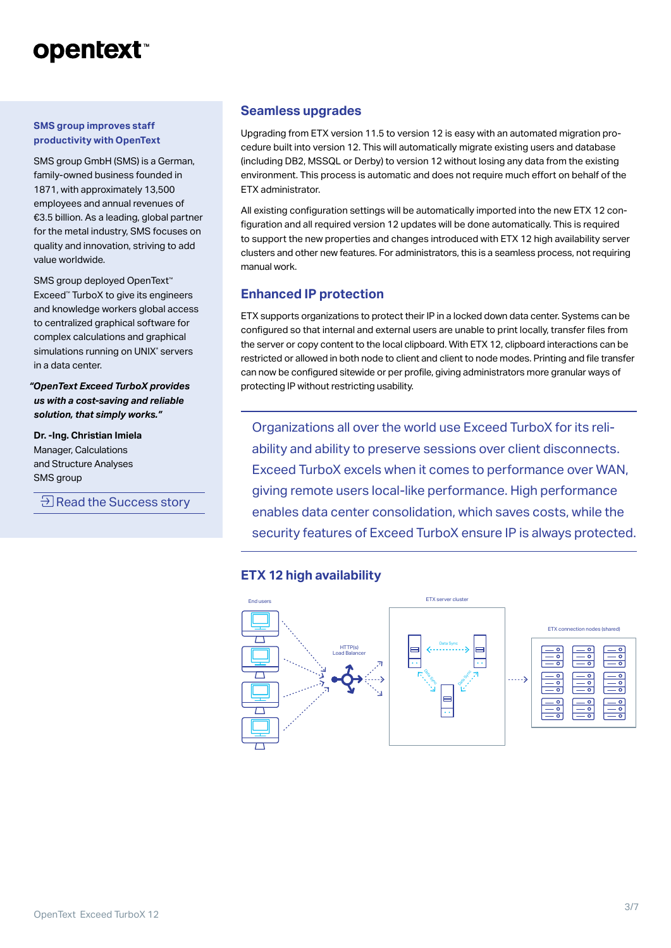## **opentext**™

#### **SMS group improves staff productivity with OpenText**

SMS group GmbH (SMS) is a German, family-owned business founded in 1871, with approximately 13,500 employees and annual revenues of €3.5 billion. As a leading, global partner for the metal industry, SMS focuses on quality and innovation, striving to add value worldwide.

SMS group deployed OpenText<sup>™</sup> Exceed™ TurboX to give its engineers and knowledge workers global access to centralized graphical software for complex calculations and graphical simulations running on UNIX® servers in a data center.

*"OpenText Exceed TurboX provides us with a cost-saving and reliable solution, that simply works."*

**Dr. -Ing. Christian Imiela** Manager, Calculations and Structure Analyses SMS group

 $\exists$  [Read the Success story](https://www.opentext.com/customer-stories/customer-story-detail?id=1418)

#### **Seamless upgrades**

Upgrading from ETX version 11.5 to version 12 is easy with an automated migration procedure built into version 12. This will automatically migrate existing users and database (including DB2, MSSQL or Derby) to version 12 without losing any data from the existing environment. This process is automatic and does not require much effort on behalf of the ETX administrator.

All existing configuration settings will be automatically imported into the new ETX 12 configuration and all required version 12 updates will be done automatically. This is required to support the new properties and changes introduced with ETX 12 high availability server clusters and other new features. For administrators, this is a seamless process, not requiring manual work.

#### **Enhanced IP protection**

ETX supports organizations to protect their IP in a locked down data center. Systems can be configured so that internal and external users are unable to print locally, transfer files from the server or copy content to the local clipboard. With ETX 12, clipboard interactions can be restricted or allowed in both node to client and client to node modes. Printing and file transfer can now be configured sitewide or per profile, giving administrators more granular ways of protecting IP without restricting usability.

Organizations all over the world use Exceed TurboX for its reliability and ability to preserve sessions over client disconnects. Exceed TurboX excels when it comes to performance over WAN, giving remote users local-like performance. High performance enables data center consolidation, which saves costs, while the security features of Exceed TurboX ensure IP is always protected.

#### **ETX 12 high availability**

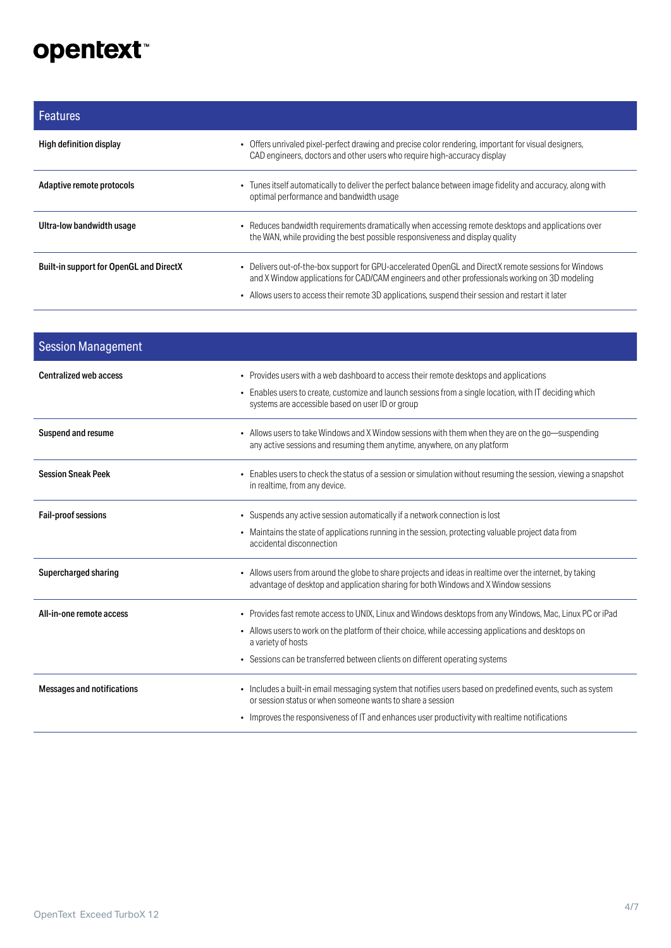## opentext<sup>\*</sup>

| Features                                       |                                                                                                                                                                                                                                                                                                             |
|------------------------------------------------|-------------------------------------------------------------------------------------------------------------------------------------------------------------------------------------------------------------------------------------------------------------------------------------------------------------|
| High definition display                        | • Offers unrivaled pixel-perfect drawing and precise color rendering, important for visual designers,<br>CAD engineers, doctors and other users who require high-accuracy display                                                                                                                           |
| Adaptive remote protocols                      | • Tunes itself automatically to deliver the perfect balance between image fidelity and accuracy, along with<br>optimal performance and bandwidth usage                                                                                                                                                      |
| Ultra-low bandwidth usage                      | • Reduces bandwidth requirements dramatically when accessing remote desktops and applications over<br>the WAN, while providing the best possible responsiveness and display quality                                                                                                                         |
| <b>Built-in support for OpenGL and DirectX</b> | • Delivers out-of-the-box support for GPU-accelerated OpenGL and DirectX remote sessions for Windows<br>and X Window applications for CAD/CAM engineers and other professionals working on 3D modeling<br>• Allows users to access their remote 3D applications, suspend their session and restart it later |

| <b>Session Management</b>         |                                                                                                                                                                                                                                                       |
|-----------------------------------|-------------------------------------------------------------------------------------------------------------------------------------------------------------------------------------------------------------------------------------------------------|
| <b>Centralized web access</b>     | • Provides users with a web dashboard to access their remote desktops and applications<br>• Enables users to create, customize and launch sessions from a single location, with IT deciding which<br>systems are accessible based on user ID or group |
| <b>Suspend and resume</b>         | • Allows users to take Windows and X Window sessions with them when they are on the go-suspending<br>any active sessions and resuming them anytime, anywhere, on any platform                                                                         |
| <b>Session Sneak Peek</b>         | • Enables users to check the status of a session or simulation without resuming the session, viewing a snapshot<br>in realtime, from any device.                                                                                                      |
| <b>Fail-proof sessions</b>        | • Suspends any active session automatically if a network connection is lost                                                                                                                                                                           |
|                                   | • Maintains the state of applications running in the session, protecting valuable project data from<br>accidental disconnection                                                                                                                       |
| Supercharged sharing              | • Allows users from around the globe to share projects and ideas in realtime over the internet, by taking<br>advantage of desktop and application sharing for both Windows and X Window sessions                                                      |
| All-in-one remote access          | • Provides fast remote access to UNIX, Linux and Windows desktops from any Windows, Mac, Linux PC or iPad                                                                                                                                             |
|                                   | - Allows users to work on the platform of their choice, while accessing applications and desktops on<br>a variety of hosts                                                                                                                            |
|                                   | • Sessions can be transferred between clients on different operating systems                                                                                                                                                                          |
| <b>Messages and notifications</b> | • Includes a built-in email messaging system that notifies users based on predefined events, such as system<br>or session status or when someone wants to share a session                                                                             |
|                                   | • Improves the responsiveness of IT and enhances user productivity with realtime notifications                                                                                                                                                        |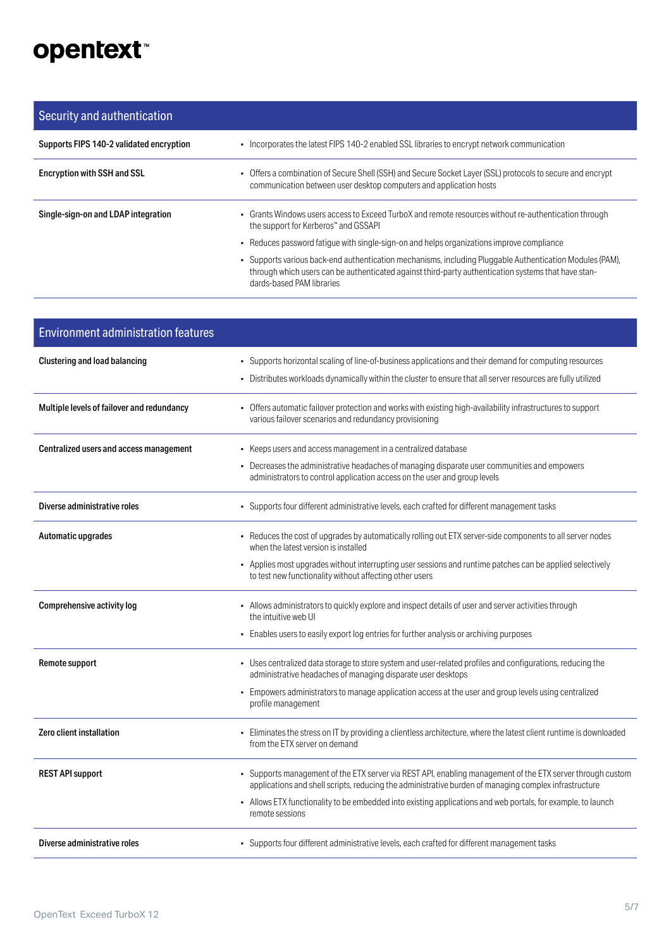## opentext<sup>™</sup>

#### Security and authentication Supports FIPS 140-2 validated encryption • Incorporates the latest FIPS 140-2 enabled SSL libraries to encrypt network communication Encryption with SSH and SSL • Offers a combination of Secure Shell (SSH) and Secure Socket Layer (SSL) protocols to secure and encrypt communication between user desktop computers and application hosts Single-sign-on and LDAP integration • Grants Windows users access to Exceed TurboX and remote resources without re-authentication through the support for Kerberos™ and GSSAPI • Reduces password fatigue with single-sign-on and helps organizations improve compliance • Supports various back-end authentication mechanisms, including Pluggable Authentication Modules (PAM), through which users can be authenticated against third-party authentication systems that have standards-based PAM libraries

| <b>Environment administration features</b> |                                                                                                                                                                                                                                                                                                                                                        |
|--------------------------------------------|--------------------------------------------------------------------------------------------------------------------------------------------------------------------------------------------------------------------------------------------------------------------------------------------------------------------------------------------------------|
| <b>Clustering and load balancing</b>       | • Supports horizontal scaling of line-of-business applications and their demand for computing resources<br>• Distributes workloads dynamically within the cluster to ensure that all server resources are fully utilized                                                                                                                               |
| Multiple levels of failover and redundancy | • Offers automatic failover protection and works with existing high-availability infrastructures to support<br>various failover scenarios and redundancy provisioning                                                                                                                                                                                  |
| Centralized users and access management    | • Keeps users and access management in a centralized database<br>• Decreases the administrative headaches of managing disparate user communities and empowers<br>administrators to control application access on the user and group levels                                                                                                             |
| Diverse administrative roles               | • Supports four different administrative levels, each crafted for different management tasks                                                                                                                                                                                                                                                           |
| Automatic upgrades                         | • Reduces the cost of upgrades by automatically rolling out ETX server-side components to all server nodes<br>when the latest version is installed<br>• Applies most upgrades without interrupting user sessions and runtime patches can be applied selectively<br>to test new functionality without affecting other users                             |
| Comprehensive activity log                 | • Allows administrators to quickly explore and inspect details of user and server activities through<br>the intuitive web UI<br>• Enables users to easily export log entries for further analysis or archiving purposes                                                                                                                                |
| Remote support                             | • Uses centralized data storage to store system and user-related profiles and configurations, reducing the<br>administrative headaches of managing disparate user desktops<br>• Empowers administrators to manage application access at the user and group levels using centralized<br>profile management                                              |
| Zero client installation                   | • Eliminates the stress on IT by providing a clientless architecture, where the latest client runtime is downloaded<br>from the ETX server on demand                                                                                                                                                                                                   |
| <b>REST API support</b>                    | • Supports management of the ETX server via REST API, enabling management of the ETX server through custom<br>applications and shell scripts, reducing the administrative burden of managing complex infrastructure<br>• Allows ETX functionality to be embedded into existing applications and web portals, for example, to launch<br>remote sessions |
| Diverse administrative roles               | • Supports four different administrative levels, each crafted for different management tasks                                                                                                                                                                                                                                                           |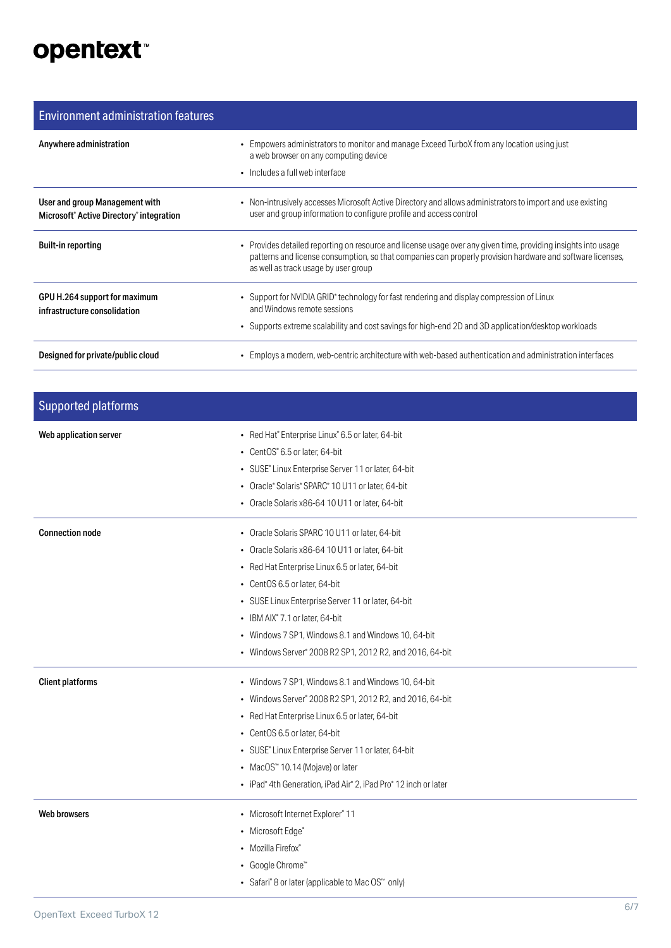## opentext<sup>\*</sup>

#### Environment administration features

| Anywhere administration                                                                            | • Empowers administrators to monitor and manage Exceed TurboX from any location using just<br>a web browser on any computing device<br>• Includes a full web interface                                                                                               |
|----------------------------------------------------------------------------------------------------|----------------------------------------------------------------------------------------------------------------------------------------------------------------------------------------------------------------------------------------------------------------------|
| User and group Management with<br>Microsoft <sup>®</sup> Active Directory <sup>®</sup> integration | • Non-intrusively accesses Microsoft Active Directory and allows administrators to import and use existing<br>user and group information to configure profile and access control                                                                                     |
| <b>Built-in reporting</b>                                                                          | • Provides detailed reporting on resource and license usage over any given time, providing insights into usage<br>patterns and license consumption, so that companies can properly provision hardware and software licenses,<br>as well as track usage by user group |
| GPU H.264 support for maximum<br>infrastructure consolidation                                      | • Support for NVIDIA GRID <sup>®</sup> technology for fast rendering and display compression of Linux<br>and Windows remote sessions<br>• Supports extreme scalability and cost savings for high-end 2D and 3D application/desktop workloads                         |
| Designed for private/public cloud                                                                  | • Employs a modern, web-centric architecture with web-based authentication and administration interfaces                                                                                                                                                             |

| <b>Supported platforms</b> |                                                                                                                                                                                                                                                                                                                                                                                                   |
|----------------------------|---------------------------------------------------------------------------------------------------------------------------------------------------------------------------------------------------------------------------------------------------------------------------------------------------------------------------------------------------------------------------------------------------|
| Web application server     | • Red Hat® Enterprise Linux® 6.5 or later, 64-bit<br>• CentOS® 6.5 or later, 64-bit<br>• SUSE® Linux Enterprise Server 11 or later, 64-bit<br>• Oracle® Solaris® SPARC® 10 U11 or later, 64-bit<br>• Oracle Solaris x86-64 10 U11 or later, 64-bit                                                                                                                                                |
| <b>Connection node</b>     | • Oracle Solaris SPARC 10 U11 or later, 64-bit<br>• Oracle Solaris x86-64 10 U11 or later, 64-bit<br>• Red Hat Enterprise Linux 6.5 or later, 64-bit<br>• CentOS 6.5 or later, 64-bit<br>• SUSE Linux Enterprise Server 11 or later, 64-bit<br>• IBM AIX® 7.1 or later, 64-bit<br>• Windows 7 SP1, Windows 8.1 and Windows 10, 64-bit<br>• Windows Server® 2008 R2 SP1, 2012 R2, and 2016, 64-bit |
| <b>Client platforms</b>    | • Windows 7 SP1, Windows 8.1 and Windows 10, 64-bit<br>• Windows Server® 2008 R2 SP1, 2012 R2, and 2016, 64-bit<br>• Red Hat Enterprise Linux 6.5 or later, 64-bit<br>• CentOS 6.5 or later, 64-bit<br>• SUSE® Linux Enterprise Server 11 or later, 64-bit<br>• MacOS <sup>™</sup> 10.14 (Mojave) or later<br>• iPad® 4th Generation, iPad Air® 2, iPad Pro® 12 inch or later                     |
| Web browsers               | • Microsoft Internet Explorer® 11<br>• Microsoft Edge <sup>®</sup><br>• Mozilla Firefox®<br>• Google Chrome™<br>• Safari® 8 or later (applicable to Mac OS™ only)                                                                                                                                                                                                                                 |